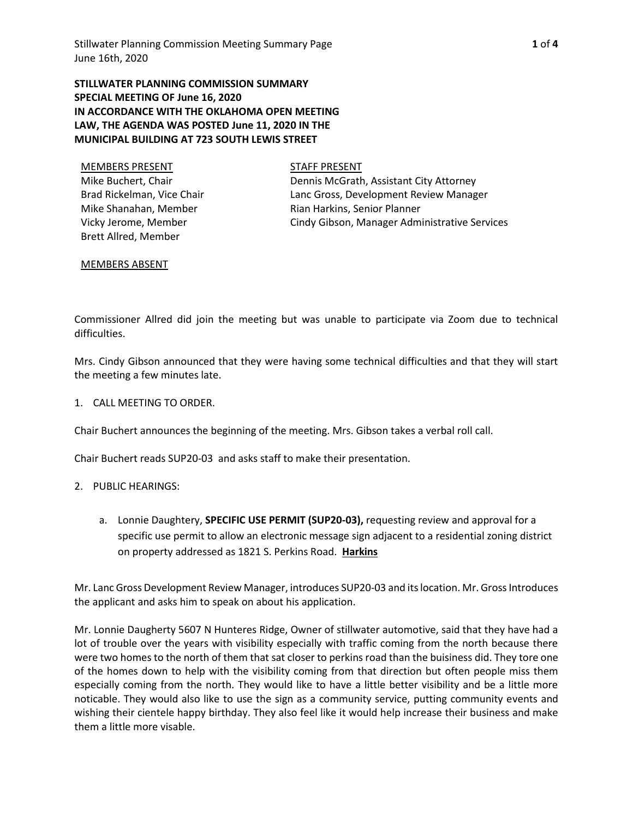**STILLWATER PLANNING COMMISSION SUMMARY SPECIAL MEETING OF June 16, 2020 IN ACCORDANCE WITH THE OKLAHOMA OPEN MEETING LAW, THE AGENDA WAS POSTED June 11, 2020 IN THE MUNICIPAL BUILDING AT 723 SOUTH LEWIS STREET**

| <b>MEMBERS PRESENT</b>     |
|----------------------------|
| Mike Buchert, Chair        |
| Brad Rickelman, Vice Chair |
| Mike Shanahan, Member      |
| Vicky Jerome, Member       |
| Brett Allred, Member       |

STAFF PRESENT

Dennis McGrath, Assistant City Attorney Lanc Gross, Development Review Manager Rian Harkins, Senior Planner Cindy Gibson, Manager Administrative Services

### MEMBERS ABSENT

Commissioner Allred did join the meeting but was unable to participate via Zoom due to technical difficulties.

Mrs. Cindy Gibson announced that they were having some technical difficulties and that they will start the meeting a few minutes late.

1. CALL MEETING TO ORDER.

Chair Buchert announces the beginning of the meeting. Mrs. Gibson takes a verbal roll call.

Chair Buchert reads SUP20-03 and asks staff to make their presentation.

#### 2. PUBLIC HEARINGS:

a. Lonnie Daughtery, **SPECIFIC USE PERMIT (SUP20-03),** requesting review and approval for a specific use permit to allow an electronic message sign adjacent to a residential zoning district on property addressed as 1821 S. Perkins Road. **Harkins**

Mr. Lanc Gross Development Review Manager, introduces SUP20-03 and its location. Mr. Gross Introduces the applicant and asks him to speak on about his application.

Mr. Lonnie Daugherty 5607 N Hunteres Ridge, Owner of stillwater automotive, said that they have had a lot of trouble over the years with visibility especially with traffic coming from the north because there were two homes to the north of them that sat closer to perkins road than the buisiness did. They tore one of the homes down to help with the visibility coming from that direction but often people miss them especially coming from the north. They would like to have a little better visibility and be a little more noticable. They would also like to use the sign as a community service, putting community events and wishing their cientele happy birthday. They also feel like it would help increase their business and make them a little more visable.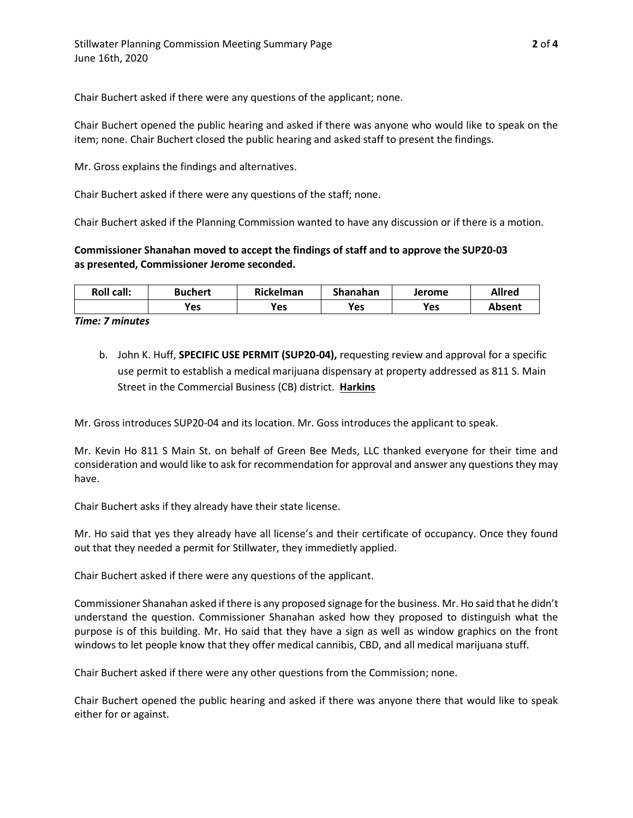Chair Buchert asked if there were any questions of the applicant; none.

Chair Buchert opened the public hearing and asked if there was anyone who would like to speak on the item; none. Chair Buchert closed the public hearing and asked staff to present the findings.

Mr. Gross explains the findings and alternatives.

Chair Buchert asked if there were any questions of the staff; none.

Chair Buchert asked if the Planning Commission wanted to have any discussion or if there is a motion.

# **Commissioner Shanahan moved to accept the findings of staff and to approve the SUP20-03 as presented, Commissioner Jerome seconded.**

| <b>Roll call:</b> | <b>Buchert</b> | Rickelman | Shanahan | Jerome | Allred |
|-------------------|----------------|-----------|----------|--------|--------|
|                   | Yes            | Yes       | Yes      | Yes    | Absent |

*Time: 7 minutes*

b. John K. Huff, **SPECIFIC USE PERMIT (SUP20-04),** requesting review and approval for a specific use permit to establish a medical marijuana dispensary at property addressed as 811 S. Main Street in the Commercial Business (CB) district. **Harkins**

Mr. Gross introduces SUP20-04 and its location. Mr. Goss introduces the applicant to speak.

Mr. Kevin Ho 811 S Main St. on behalf of Green Bee Meds, LLC thanked everyone for their time and consideration and would like to ask for recommendation for approval and answer any questions they may have.

Chair Buchert asks if they already have their state license.

Mr. Ho said that yes they already have all license's and their certificate of occupancy. Once they found out that they needed a permit for Stillwater, they immedietly applied.

Chair Buchert asked if there were any questions of the applicant.

Commissioner Shanahan asked if there is any proposed signage for the business. Mr. Ho said that he didn't understand the question. Commissioner Shanahan asked how they proposed to distinguish what the purpose is of this building. Mr. Ho said that they have a sign as well as window graphics on the front windows to let people know that they offer medical cannibis, CBD, and all medical marijuana stuff.

Chair Buchert asked if there were any other questions from the Commission; none.

Chair Buchert opened the public hearing and asked if there was anyone there that would like to speak either for or against.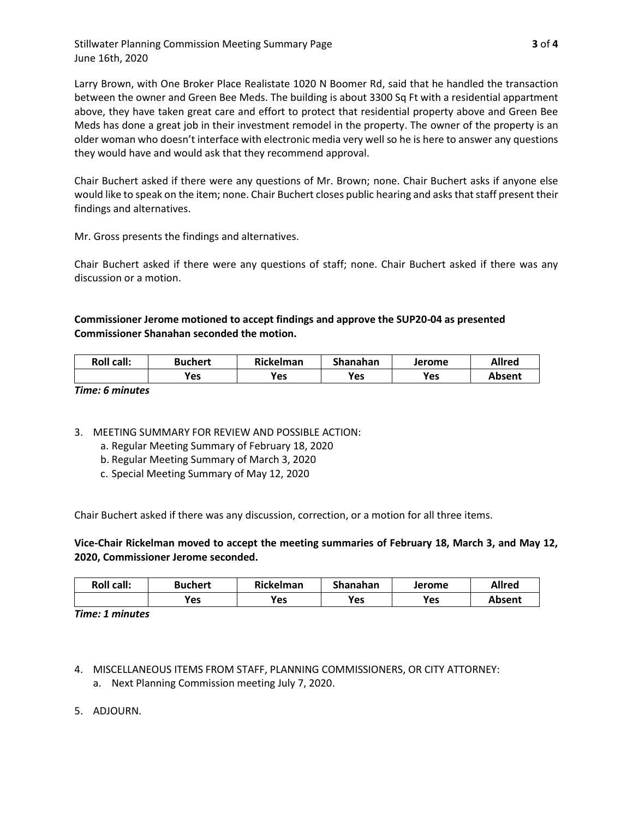Stillwater Planning Commission Meeting Summary Page **3** of **4** June 16th, 2020

Larry Brown, with One Broker Place Realistate 1020 N Boomer Rd, said that he handled the transaction between the owner and Green Bee Meds. The building is about 3300 Sq Ft with a residential appartment above, they have taken great care and effort to protect that residential property above and Green Bee Meds has done a great job in their investment remodel in the property. The owner of the property is an older woman who doesn't interface with electronic media very well so he is here to answer any questions they would have and would ask that they recommend approval.

Chair Buchert asked if there were any questions of Mr. Brown; none. Chair Buchert asks if anyone else would like to speak on the item; none. Chair Buchert closes public hearing and asks that staff present their findings and alternatives.

Mr. Gross presents the findings and alternatives.

Chair Buchert asked if there were any questions of staff; none. Chair Buchert asked if there was any discussion or a motion.

## **Commissioner Jerome motioned to accept findings and approve the SUP20-04 as presented Commissioner Shanahan seconded the motion.**

| <b>Roll call:</b> | Buchert | Rickelman | Shanahan | Jerome | Allred        |
|-------------------|---------|-----------|----------|--------|---------------|
|                   | Yes     | Yes       | Yes      | Yes    | <b>Absent</b> |

*Time: 6 minutes*

- 3. MEETING SUMMARY FOR REVIEW AND POSSIBLE ACTION:
	- a. Regular Meeting Summary of February 18, 2020
	- b. Regular Meeting Summary of March 3, 2020
	- c. Special Meeting Summary of May 12, 2020

Chair Buchert asked if there was any discussion, correction, or a motion for all three items.

## **Vice-Chair Rickelman moved to accept the meeting summaries of February 18, March 3, and May 12, 2020, Commissioner Jerome seconded.**

| <b>Roll call:</b> | <b>Buchert</b> | Rickelman  | Shanahan | Jerome | <b>Allrea</b> |
|-------------------|----------------|------------|----------|--------|---------------|
|                   | Yes            | <b>Yes</b> | Yes      | Yes    | Absent        |

*Time: 1 minutes*

- 4. MISCELLANEOUS ITEMS FROM STAFF, PLANNING COMMISSIONERS, OR CITY ATTORNEY:
	- a. Next Planning Commission meeting July 7, 2020.
- 5. ADJOURN.